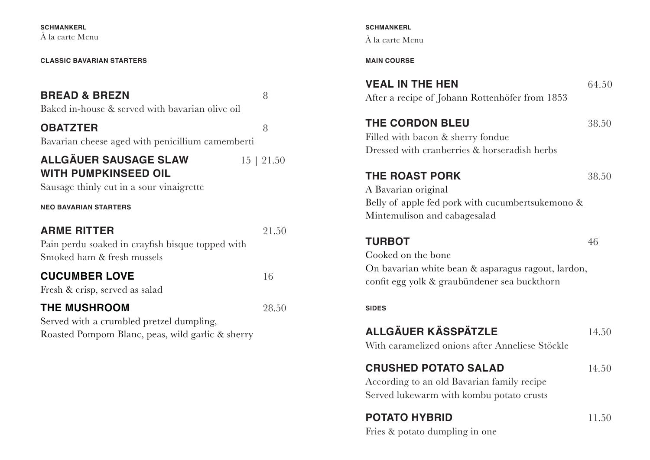**SCHMANKERL** À la carte Menu

#### **CLASSIC BAVARIAN STARTERS**

## **BREAD & BREZN** 8

Baked in-house & served with bavarian olive oil

**OBATZTER** 8

Bavarian cheese aged with penicillium camemberti

**ALLGÄUER SAUSAGE SLAW** 15 | 21.50 **WITH PUMPKINSEED OIL** 

Sausage thinly cut in a sour vinaigrette

#### **NEO BAVARIAN STARTERS**

# **ARME RITTER** 21.50 Pain perdu soaked in crayfish bisque topped with

Smoked ham & fresh mussels

## **CUCUMBER LOVE** 16

Fresh & crisp, served as salad

#### **THE MUSHROOM** 28.50

Served with a crumbled pretzel dumpling, Roasted Pompom Blanc, peas, wild garlic & sherry

#### **SCHMANKERL** À la carte Menu

#### **MAIN COURSE**

**VEAL IN THE HEN** 64.50 After a recipe of Johann Rottenhöfer from 1853

## **THE CORDON BLEU** 38.50

Filled with bacon & sherry fondue Dressed with cranberries & horseradish herbs

## **THE ROAST PORK** 38.50

A Bavarian original Belly of apple fed pork with cucumbertsukemono & Mintemulison and cabagesalad

## **TURBOT** 46

Cooked on the bone On bavarian white bean & asparagus ragout, lardon, confit egg yolk & graubündener sea buckthorn

#### **SIDES**

# **ALLGÄUER KÄSSPÄTZLE** 14.50

With caramelized onions after Anneliese Stöckle

# **CRUSHED POTATO SALAD** 14.50

According to an old Bavarian family recipe Served lukewarm with kombu potato crusts

# **POTATO HYBRID** 11.50

Fries & potato dumpling in one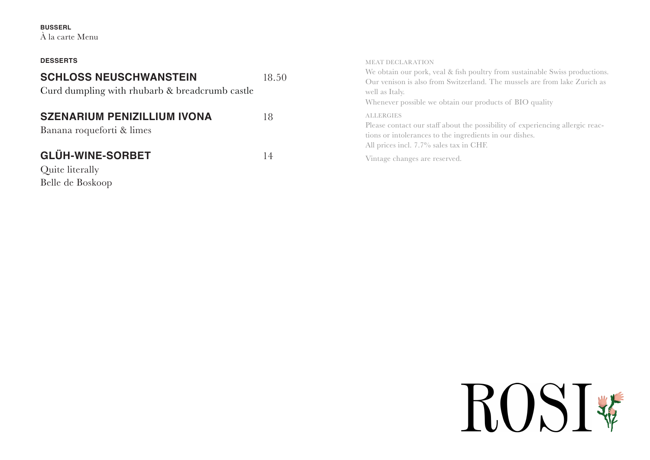#### **BUSSERL**

À la carte Menu

| <b>DESSERTS</b>                                                                 |       | <b>MEAT DECLARATION</b>                                                                                                                                                                                                               |
|---------------------------------------------------------------------------------|-------|---------------------------------------------------------------------------------------------------------------------------------------------------------------------------------------------------------------------------------------|
| <b>SCHLOSS NEUSCHWANSTEIN</b><br>Curd dumpling with rhubarb & breadcrumb castle | 18.50 | We obtain our pork, veal & fish poultry from sustainable Swiss productions.<br>Our venison is also from Switzerland. The mussels are from lake Zurich as<br>well as Italy.<br>Whenever possible we obtain our products of BIO quality |
| <b>SZENARIUM PENIZILLIUM IVONA</b><br>Banana roqueforti & limes                 | 18    | <b>ALLERGIES</b><br>Please contact our staff about the possibility of experiencing allergic reac-<br>tions or intolerances to the ingredients in our dishes.<br>All prices incl. 7.7% sales tax in CHF.                               |
| <b>GLÜH-WINE-SORBET</b><br>Quite literally<br>Belle de Boskoop                  | 14    | Vintage changes are reserved.                                                                                                                                                                                                         |

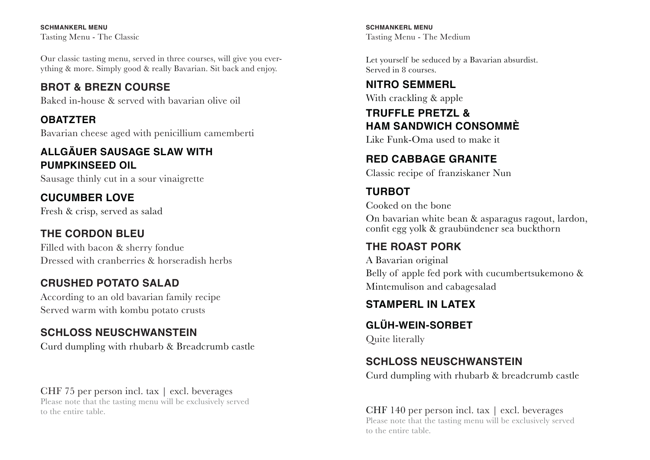**SCHMANKERL MENU** Tasting Menu - The Classic

Our classic tasting menu, served in three courses, will give you everything & more. Simply good & really Bavarian. Sit back and enjoy.

# **BROT & BREZN COURSE**

Baked in-house & served with bavarian olive oil

# **OBATZTER**

Bavarian cheese aged with penicillium camemberti

# **ALLGÄUER SAUSAGE SLAW WITH PUMPKINSEED OIL**

Sausage thinly cut in a sour vinaigrette

## **CUCUMBER LOVE** Fresh & crisp, served as salad

# **THE CORDON BLEU**

Filled with bacon & sherry fondue Dressed with cranberries & horseradish herbs

# **CRUSHED POTATO SALAD**

According to an old bavarian family recipe Served warm with kombu potato crusts

# **SCHLOSS NEUSCHWANSTEIN**

Curd dumpling with rhubarb & Breadcrumb castle

# CHF 75 per person incl. tax | excl. beverages

Please note that the tasting menu will be exclusively served to the entire table.

**SCHMANKERL MENU** Tasting Menu - The Medium

Let yourself be seduced by a Bavarian absurdist. Served in 8 courses.

# **NITRO SEMMERL**

With crackling & apple

# **TRUFFLE PRETZL & HAM SANDWICH CONSOMMÈ**

Like Funk-Oma used to make it

# **RED CABBAGE GRANITE**

Classic recipe of franziskaner Nun

# **TURBOT**

Cooked on the bone

On bavarian white bean & asparagus ragout, lardon, confit egg yolk & graubündener sea buckthorn

# **THE ROAST PORK**

A Bavarian original Belly of apple fed pork with cucumbertsukemono & Mintemulison and cabagesalad

# **STAMPERL IN LATEX**

**GLÜH-WEIN-SORBET** Quite literally

# **SCHLOSS NEUSCHWANSTEIN**

Curd dumpling with rhubarb & breadcrumb castle

#### CHF 140 per person incl. tax | excl. beverages Please note that the tasting menu will be exclusively served to the entire table.